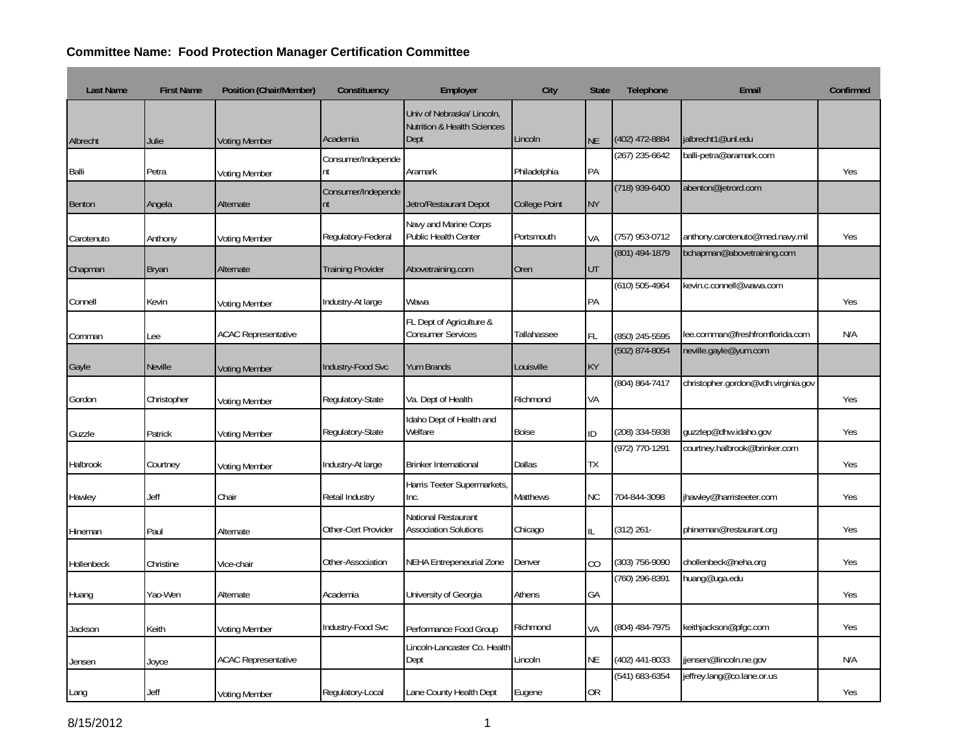## **Committee Name: Food Protection Manager Certification Committee**

| <b>Last Name</b> | <b>First Name</b> | Position (Chair/Member)    | Constituency             | Employer                                                                     | City                 | <b>State</b> | Telephone          | Email                               | Confirmed |
|------------------|-------------------|----------------------------|--------------------------|------------------------------------------------------------------------------|----------------------|--------------|--------------------|-------------------------------------|-----------|
| Albrecht         | Julie             | <b>Voting Member</b>       | Academia                 | Univ of Nebraska/ Lincoln,<br><b>Nutrition &amp; Health Sciences</b><br>Dept | Lincoln              | <b>NE</b>    | (402) 472-8884     | jalbrecht1@unl.edu                  |           |
| Balli            | Petra             | <b>Voting Member</b>       | Consumer/Independe<br>nt | Aramark                                                                      | Philadelphia         | PA           | (267) 235-6642     | balli-petra@aramark.com             | Yes       |
| <b>Benton</b>    | Angela            | Alternate                  | Consumer/Independe<br>nt | Jetro/Restaurant Depot                                                       | <b>College Point</b> | <b>NY</b>    | $(718)$ 939-6400   | abenton@jetrord.com                 |           |
| Carotenuto       | Anthony           | <b>Voting Member</b>       | Regulatory-Federal       | Navy and Marine Corps<br>Public Health Center                                | Portsmouth           | VA           | (757) 953-0712     | anthony.carotenuto@med.navy.mil     | Yes       |
| Chapman          | Bryan             | Alternate                  | <b>Training Provider</b> | Abovetraining.com                                                            | Oren                 | UT           | (801) 494-1879     | bchapman@abovetraining.com          |           |
| Connell          | Kevin             | Voting Member              | Industry-At large        | Wawa                                                                         |                      | PA           | $(610) 505 - 4964$ | kevin.c.connell@wawa.com            | Yes       |
| Cornman          | ee                | <b>ACAC Representative</b> |                          | FL Dept of Agriculture &<br><b>Consumer Services</b>                         | Tallahassee          | <b>FL</b>    | (850) 245-5595     | lee.cornman@freshfromflorida.com    | N/A       |
| Gayle            | <b>Neville</b>    | <b>Voting Member</b>       | Industry-Food Svc        | <b>Yum Brands</b>                                                            | Louisville           | <b>KY</b>    | (502) 874-8054     | neville.gayle@yum.com               |           |
| Gordon           | Christopher       | <b>Voting Member</b>       | Regulatory-State         | Va. Dept of Health                                                           | Richmond             | VA           | (804) 864-7417     | christopher.gordon@vdh.virginia.gov | Yes       |
| Guzzle           | Patrick           | <b>Voting Member</b>       | Regulatory-State         | Idaho Dept of Health and<br>Welfare                                          | <b>Boise</b>         | ID           | (208) 334-5938     | quzzlep@dhw.idaho.gov               | Yes       |
| Halbrook         | Courtney          | <b>Voting Member</b>       | Industry-At large        | <b>Brinker International</b>                                                 | Dallas               | TX           | (972) 770-1291     | courtney.halbrook@brinker.com       | Yes       |
| Hawley           | Jeff              | Chair                      | Retail Industry          | Harris Teeter Supermarkets,<br>Inc.                                          | <b>Matthews</b>      | <b>NC</b>    | 704-844-3098       | jhawley@harristeeter.com            | Yes       |
| Hineman          | Paul              | Alternate                  | Other-Cert Provider      | National Restaurant<br><b>Association Solutions</b>                          | Chicago              | IL           | (312) 261-         | phineman@restaurant.org             | Yes       |
| Hollenbeck       | Christine         | Vice-chair                 | Other-Association        | NEHA Entrepeneurial Zone                                                     | Denver               | CO           | (303) 756-9090     | chollenbeck@neha.org                | Yes       |
| Huang            | Yao-Wen           | Alternate                  | Academia                 | University of Georgia                                                        | Athens               | GA           | (760) 296-8391     | huang@uga.edu                       | Yes       |
| Jackson          | Keith             | <b>Voting Member</b>       | Industry-Food Svc        | Performance Food Group                                                       | Richmond             | VA           | (804) 484-7975     | keithjackson@pfgc.com               | Yes       |
| Jensen           | Joyce             | <b>ACAC Representative</b> |                          | Lincoln-Lancaster Co. Health<br>Dept                                         | Lincoln              | <b>NE</b>    | (402) 441-8033     | jjensen@lincoln.ne.gov              | N/A       |
| Lang             | Jeff              | <b>Voting Member</b>       | Regulatory-Local         | Lane County Health Dept                                                      | Eugene               | <b>OR</b>    | (541) 683-6354     | jeffrey.lang@co.lane.or.us          | Yes       |

**Contract Contract**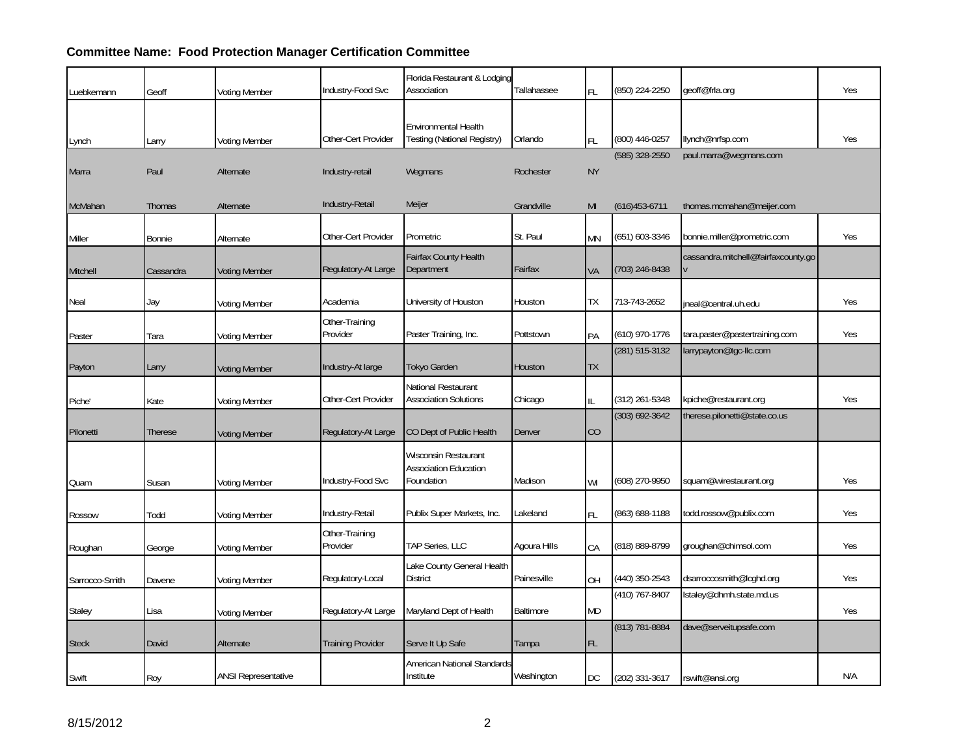## **Committee Name: Food Protection Manager Certification Committee**

| Luebkemann     | Geoff          | <b>Voting Member</b>       | Industry-Food Svc          | Florida Restaurant & Lodging<br>Association                        | Tallahassee  | FL        | (850) 224-2250     | geoff@frla.org                      | Yes |
|----------------|----------------|----------------------------|----------------------------|--------------------------------------------------------------------|--------------|-----------|--------------------|-------------------------------------|-----|
| Lynch          | Larry          | <b>Voting Member</b>       | Other-Cert Provider        | Environmental Health<br>Testing (National Registry)                | Orlando      | <b>FL</b> | (800) 446-0257     | llynch@nrfsp.com                    | Yes |
| Marra          | Paul           | Alternate                  | Industry-retail            | Wegmans                                                            | Rochester    | <b>NY</b> | (585) 328-2550     | paul.marra@wegmans.com              |     |
| McMahan        | Thomas         | Alternate                  | Industry-Retail            | Meijer                                                             | Grandville   | MI        | $(616)453-6711$    | thomas.mcmahan@meijer.com           |     |
| Miller         | <b>Bonnie</b>  | Alternate                  | Other-Cert Provider        | Prometric                                                          | St. Paul     | <b>MN</b> | (651) 603-3346     | bonnie.miller@prometric.com         | Yes |
| Mitchell       | Cassandra      | <b>Voting Member</b>       | Regulatory-At Large        | Fairfax County Health<br>Department                                | Fairfax      | VA        | (703) 246-8438     | cassandra.mitchell@fairfaxcounty.go |     |
| Neal           | Jay            | <b>Voting Member</b>       | Academia                   | University of Houston                                              | Houston      | TХ        | 713-743-2652       | jneal@central.uh.edu                | Yes |
| Paster         | Tara           | <b>Voting Member</b>       | Other-Training<br>Provider | Paster Training, Inc.                                              | Pottstown    | PA        | (610) 970-1776     | tara.paster@pastertraining.com      | Yes |
| Payton         | Larry          | <b>Voting Member</b>       | Industry-At large          | Tokyo Garden                                                       | Houston      | <b>TX</b> | $(281)$ 515-3132   | larrypayton@tgc-llc.com             |     |
| Piche'         | Kate           | <b>Voting Member</b>       | Other-Cert Provider        | National Restaurant<br><b>Association Solutions</b>                | Chicago      | II        | (312) 261-5348     | kpiche@restaurant.org               | Yes |
| Pilonetti      | <b>Therese</b> | <b>Voting Member</b>       | Regulatory-At Large        | CO Dept of Public Health                                           | Denver       | CO        | $(303) 692 - 3642$ | therese.pilonetti@state.co.us       |     |
| Quam           | Susan          | <b>Voting Member</b>       | Industry-Food Svc          | Wisconsin Restaurant<br><b>Association Education</b><br>Foundation | Madison      | WI        | (608) 270-9950     | squam@wirestaurant.org              | Yes |
| Rossow         | Todd           | <b>Voting Member</b>       | Industry-Retail            | Publix Super Markets, Inc.                                         | Lakeland     | FL        | (863) 688-1188     | todd.rossow@publix.com              | Yes |
| Roughan        | George         | <b>Voting Member</b>       | Other-Training<br>Provider | TAP Series, LLC                                                    | Agoura Hills | CA        | (818) 889-8799     | groughan@chimsol.com                | Yes |
| Sarrocco-Smith | Davene         | <b>Voting Member</b>       | Regulatory-Local           | Lake County General Health<br><b>District</b>                      | Painesville  | OH        | (440) 350-2543     | dsarroccosmith@lcghd.org            | Yes |
| Staley         | Lisa           | <b>Voting Member</b>       | Regulatory-At Large        | Maryland Dept of Health                                            | Baltimore    | <b>MD</b> | (410) 767-8407     | lstaley@dhmh.state.md.us            | Yes |
| <b>Steck</b>   | David          | Alternate                  | <b>Training Provider</b>   | Serve It Up Safe                                                   | Tampa        | FL.       | (813) 781-8884     | dave@serveitupsafe.com              |     |
| Swift          | Roy            | <b>ANSI Representative</b> |                            | American National Standards<br>Institute                           | Washington   | DC        | (202) 331-3617     | rswift@ansi.org                     | N/A |